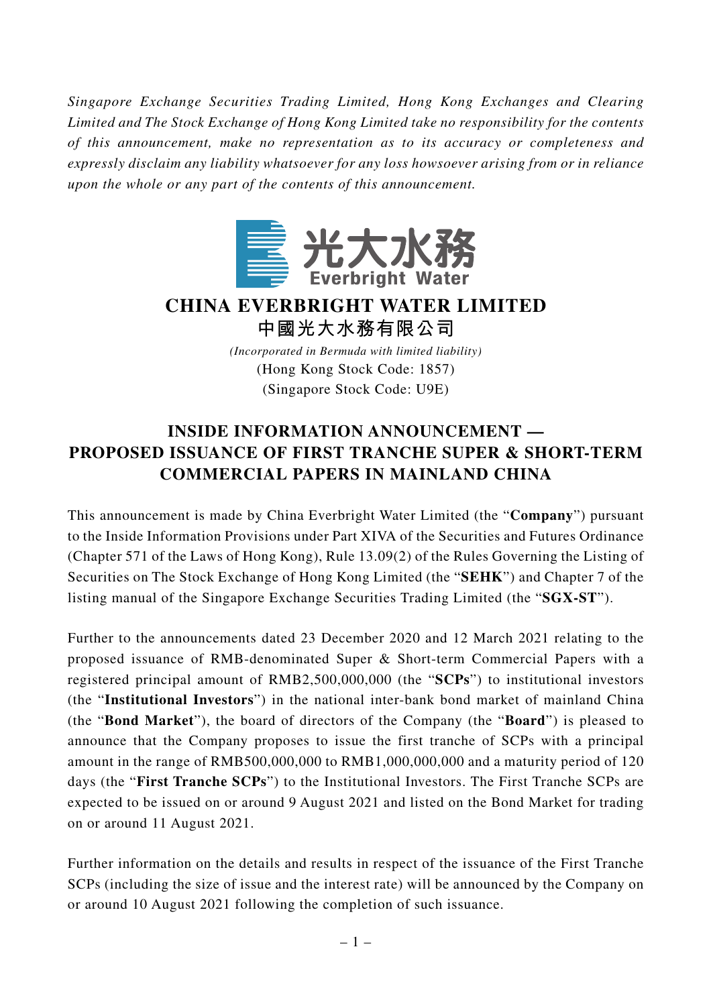*Singapore Exchange Securities Trading Limited, Hong Kong Exchanges and Clearing Limited and The Stock Exchange of Hong Kong Limited take no responsibility for the contents of this announcement, make no representation as to its accuracy or completeness and expressly disclaim any liability whatsoever for any loss howsoever arising from or in reliance upon the whole or any part of the contents of this announcement.*



## **CHINA EVERBRIGHT WATER LIMITED**

**中國光大水務有限公司**

*(Incorporated in Bermuda with limited liability)* (Hong Kong Stock Code: 1857) (Singapore Stock Code: U9E)

## **INSIDE INFORMATION ANNOUNCEMENT — PROPOSED ISSUANCE OF FIRST TRANCHE SUPER & SHORT-TERM COMMERCIAL PAPERS IN MAINLAND CHINA**

This announcement is made by China Everbright Water Limited (the "**Company**") pursuant to the Inside Information Provisions under Part XIVA of the Securities and Futures Ordinance (Chapter 571 of the Laws of Hong Kong), Rule 13.09(2) of the Rules Governing the Listing of Securities on The Stock Exchange of Hong Kong Limited (the "**SEHK**") and Chapter 7 of the listing manual of the Singapore Exchange Securities Trading Limited (the "**SGX-ST**").

Further to the announcements dated 23 December 2020 and 12 March 2021 relating to the proposed issuance of RMB-denominated Super & Short-term Commercial Papers with a registered principal amount of RMB2,500,000,000 (the "**SCPs**") to institutional investors (the "**Institutional Investors**") in the national inter-bank bond market of mainland China (the "**Bond Market**"), the board of directors of the Company (the "**Board**") is pleased to announce that the Company proposes to issue the first tranche of SCPs with a principal amount in the range of RMB500,000,000 to RMB1,000,000,000 and a maturity period of 120 days (the "**First Tranche SCPs**") to the Institutional Investors. The First Tranche SCPs are expected to be issued on or around 9 August 2021 and listed on the Bond Market for trading on or around 11 August 2021.

Further information on the details and results in respect of the issuance of the First Tranche SCPs (including the size of issue and the interest rate) will be announced by the Company on or around 10 August 2021 following the completion of such issuance.